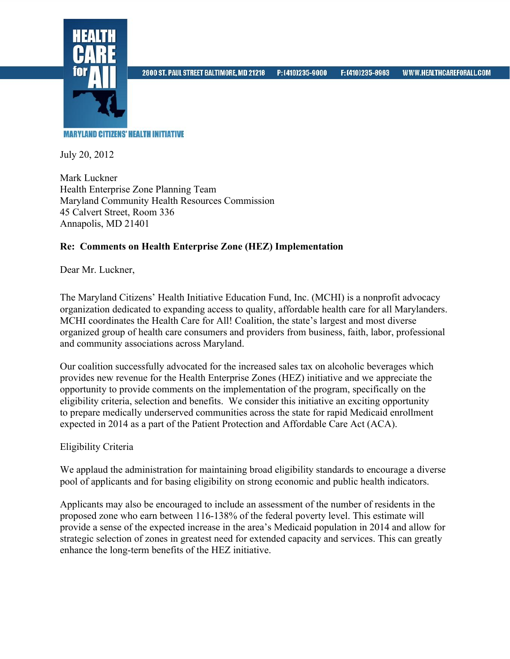

2600 ST. PAUL STREET BALTIMORE, MD 21218

P: (410)235-9000

**MARYLAND CITIZENS' HEALTH INITIATIVE** 

July 20, 2012

Mark Luckner Health Enterprise Zone Planning Team Maryland Community Health Resources Commission 45 Calvert Street, Room 336 Annapolis, MD 21401

## **Re: Comments on Health Enterprise Zone (HEZ) Implementation**

Dear Mr. Luckner,

The Maryland Citizens' Health Initiative Education Fund, Inc. (MCHI) is a nonprofit advocacy organization dedicated to expanding access to quality, affordable health care for all Marylanders. MCHI coordinates the Health Care for All! Coalition, the state's largest and most diverse organized group of health care consumers and providers from business, faith, labor, professional and community associations across Maryland.

Our coalition successfully advocated for the increased sales tax on alcoholic beverages which provides new revenue for the Health Enterprise Zones (HEZ) initiative and we appreciate the opportunity to provide comments on the implementation of the program, specifically on the eligibility criteria, selection and benefits. We consider this initiative an exciting opportunity to prepare medically underserved communities across the state for rapid Medicaid enrollment expected in 2014 as a part of the Patient Protection and Affordable Care Act (ACA).

## Eligibility Criteria

We applaud the administration for maintaining broad eligibility standards to encourage a diverse pool of applicants and for basing eligibility on strong economic and public health indicators.

Applicants may also be encouraged to include an assessment of the number of residents in the proposed zone who earn between 116-138% of the federal poverty level. This estimate will provide a sense of the expected increase in the area's Medicaid population in 2014 and allow for strategic selection of zones in greatest need for extended capacity and services. This can greatly enhance the long-term benefits of the HEZ initiative.